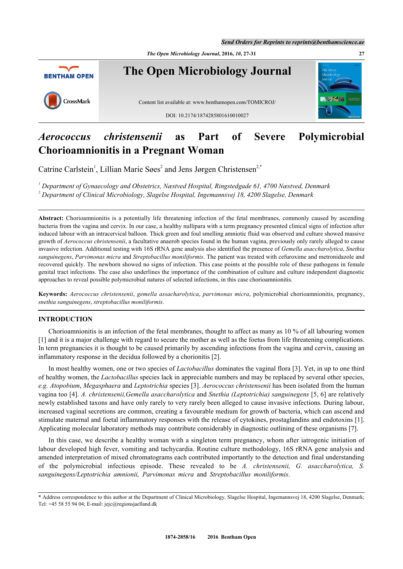*Send Orders for Reprints to reprints@benthamscience.ae*

*The Open Microbiology Journal***, 2016,** *10***, 27-31 27**



# *Aerococcus christensenii* **as Part of Severe Polymicrobial Chorioamnionitis in a Pregnant Woman**

Catrine Carlstein<sup>[1](#page-0-0)</sup>, Lillian Marie Søes<sup>[2](#page-0-1)</sup> and Jens Jørgen Christensen<sup>2,[\\*](#page-0-2)</sup>

<span id="page-0-1"></span><span id="page-0-0"></span>*1 Department of Gynaecology and Obstetrics, Næstved Hospital, Ringstedgade 61, 4700 Næstved, Denmark 2 Department of Clinical Microbiology, Slagelse Hospital, Ingemannsvej 18, 4200 Slagelse, Denmark*

**Abstract:** Chorioamnionitis is a potentially life threatening infection of the fetal membranes, commonly caused by ascending bacteria from the vagina and cervix. In our case, a healthy nullipara with a term pregnancy presented clinical signs of infection after induced labour with an intracervical balloon. Thick green and foul smelling amniotic fluid was observed and culture showed massive growth of *Aerococcus christensenii*, a facultative anaerob species found in the human vagina, previously only rarely alleged to cause invasive infection. Additional testing with 16S rRNA gene analysis also identified the presence of *Gemella asaccharolytica*, *Snethia sanguinegens*, *Parvimonas micra* and *Streptobacillus moniliformis*. The patient was treated with cefuroxime and metronidazole and recovered quickly. The newborn showed no signs of infection. This case points at the possible role of these pathogens in female genital tract infections. The case also underlines the importance of the combination of culture and culture independent diagnostic approaches to reveal possible polymicrobial natures of selected infections, in this case chorioamnionitis.

**Keywords:** *Aerococcus christensenii*, *gemella assacharolytica*, *parvimonas micra*, polymicrobial chorioamnionitis, pregnancy, *snethia sanguinegens*, *streptobacillus moniliformis*.

# **INTRODUCTION**

Chorioamnionitis is an infection of the fetal membranes, thought to affect as many as 10 % of all labouring women [\[1](#page-3-0)] and it is a major challenge with regard to secure the mother as well as the foetus from life threatening complications. In term pregnancies it is thought to be caused primarily by ascending infections from the vagina and cervix, causing an inflammatory response in the decidua followed by a chorionitis [[2\]](#page-3-1).

In most healthy women, one or two species of *Lactobacillus* dominates the vaginal flora [\[3](#page-3-2)]. Yet, in up to one third of healthy women, the *Lactobacillus* species lack in appreciable numbers and may be replaced by several other species, *e.g. Atopobium*, *Megasphaera* and *Leptotrichia* species [[3\]](#page-3-2). *Aerococcus christensenii* has been isolated from the human vagina too [[4\]](#page-4-0). *A. christensenii,Gemella asaccharolytica* and *Snethia (Leptotrichia) sanguinegens* [\[5](#page-4-1), [6\]](#page-4-2) are relatively newly established taxons and have only rarely to very rarely been alleged to cause invasive infections. During labour, increased vaginal secretions are common, creating a favourable medium for growth of bacteria, which can ascend and stimulate maternal and foetal inflammatory responses with the release of cytokines, prostaglandins and endotoxins [[1\]](#page-3-0). Applicating molecular laboratory methods may contribute considerably in diagnostic outlining of these organisms [[7\]](#page-4-3).

In this case, we describe a healthy woman with a singleton term pregnancy, whom after iatrogenic initiation of labour developed high fever, vomiting and tachycardia. Routine culture methodology, 16S rRNA gene analysis and amended interpretation of mixed chromatograms each contributed importantly to the detection and final understanding of the polymicrobial infectious episode. These revealed to be *A. christensenii, G. asaccharolytica, S. sanguinegens/Leptotrichia amnionii, Parvimonas micra* and *Streptobacillus moniliformis*.

<span id="page-0-2"></span><sup>\*</sup> Address correspondence to this author at the Department of Clinical Microbiology, Slagelse Hospital, Ingemannsvej 18, 4200 Slagelse, Denmark; Tel: +45 58 55 94 04; E-mail: [jejc@regionsjaelland.dk](mailto:jejc@regionsjaelland.dk)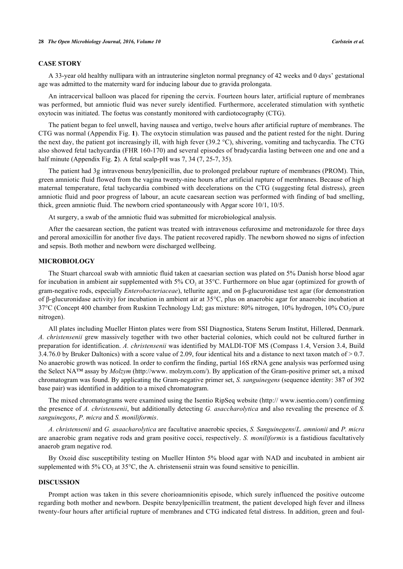#### **CASE STORY**

A 33-year old healthy nullipara with an intrauterine singleton normal pregnancy of 42 weeks and 0 days' gestational age was admitted to the maternity ward for inducing labour due to gravida prolongata.

An intracervical balloon was placed for ripening the cervix. Fourteen hours later, artificial rupture of membranes was performed, but amniotic fluid was never surely identified. Furthermore, accelerated stimulation with synthetic oxytocin was initiated. The foetus was constantly monitored with cardiotocography (CTG).

The patient began to feel unwell, having nausea and vertigo, twelve hours after artificial rupture of membranes. The CTG was normal (Appendix Fig. **[1](#page-3-3)**). The oxytocin stimulation was paused and the patient rested for the night. During the next day, the patient got increasingly ill, with high fever (39.2 °C), shivering, vomiting and tachycardia. The CTG also showed fetal tachycardia (FHR 160-170) and several episodes of bradycardia lasting between one and one and a half minute (Appendix Fig. **[2](#page-3-4)**). A fetal scalp-pH was 7, 34 (7, 25-7, 35).

The patient had 3g intravenous benzylpenicillin, due to prolonged prelabour rupture of membranes (PROM). Thin, green amniotic fluid flowed from the vagina twenty-nine hours after artificial rupture of membranes. Because of high maternal temperature, fetal tachycardia combined with decelerations on the CTG (suggesting fetal distress), green amniotic fluid and poor progress of labour, an acute caesarean section was performed with finding of bad smelling, thick, green amniotic fluid. The newborn cried spontaneously with Apgar score 10/1, 10/5.

At surgery, a swab of the amniotic fluid was submitted for microbiological analysis.

After the caesarean section, the patient was treated with intravenous cefuroxime and metronidazole for three days and peroral amoxicillin for another five days. The patient recovered rapidly. The newborn showed no signs of infection and sepsis. Both mother and newborn were discharged wellbeing.

#### **MICROBIOLOGY**

The Stuart charcoal swab with amniotic fluid taken at caesarian section was plated on 5% Danish horse blood agar for incubation in ambient air supplemented with  $5\%$  CO<sub>2</sub> at  $35^{\circ}$ C. Furthermore on blue agar (optimized for growth of gram-negative rods, especially *Enterobacteriaceae*), tellurite agar, and on β-glucuronidase test agar (for demonstration of β-glucuronidase activity) for incubation in ambient air at 35°C, plus on anaerobic agar for anaerobic incubation at 37°C (Concept 400 chamber from Ruskinn Technology Ltd; gas mixture: 80% nitrogen, 10% hydrogen, 10% CO<sub>2</sub>/pure nitrogen).

All plates including Mueller Hinton plates were from SSI Diagnostica, Statens Serum Institut, Hillerød, Denmark. *A. christensenii* grew massively together with two other bacterial colonies, which could not be cultured further in preparation for identification. *A. christensenii* was identified by MALDI-TOF MS (Compass 1.4, Version 3.4, Build 3.4.76.0 by Bruker Daltonics) with a score value of 2.09, four identical hits and a distance to next taxon match of  $> 0.7$ . No anaerobic growth was noticed. In order to confirm the finding, partial 16S rRNA gene analysis was performed using the Select NA™ assay by *Molzym* (http://www. molzym.com/). By application of the Gram-positive primer set, a mixed chromatogram was found. By applicating the Gram-negative primer set, *S. sanguinegens* (sequence identity: 387 of 392 base pair) was identified in addition to a mixed chromatogram.

The mixed chromatograms were examined using the Isentio RipSeq website (http:// www.isentio.com/) confirming the presence of *A. christensenii*, but additionally detecting *G. asaccharolytica* and also revealing the presence of *S. sanguinegens*, *P. micra* and *S. moniliformis*.

*A. christensenii* and *G. asaacharolytica* are facultative anaerobic species, *S. Sanguinegens*/*L. amnionii* and *P. micra* are anaerobic gram negative rods and gram positive cocci, respectively. *S. moniliformis* is a fastidious facultatively anaerob gram negative rod.

By Oxoid disc susceptibility testing on Mueller Hinton 5% blood agar with NAD and incubated in ambient air supplemented with 5%  $CO_2$  at 35°C, the A. christensenii strain was found sensitive to penicillin.

#### **DISCUSSION**

Prompt action was taken in this severe chorioamnionitis episode, which surely influenced the positive outcome regarding both mother and newborn. Despite benzylpenicillin treatment, the patient developed high fever and illness twenty-four hours after artificial rupture of membranes and CTG indicated fetal distress. In addition, green and foul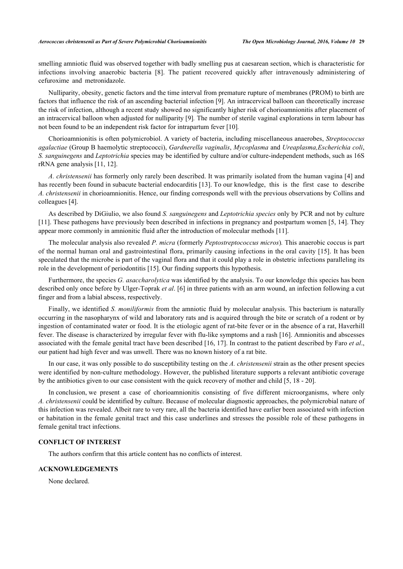smelling amniotic fluid was observed together with badly smelling pus at caesarean section, which is characteristic for infections involving anaerobic bacteria [\[8\]](#page-4-4). The patient recovered quickly after intravenously administering of cefuroxime and metronidazole.

Nulliparity, obesity, genetic factors and the time interval from premature rupture of membranes (PROM) to birth are factors that influence the risk of an ascending bacterial infection [[9](#page-4-5)]. An intracervical balloon can theoretically increase the risk of infection, although a recent study showed no significantly higher risk of chorioamnionitis after placement of an intracervical balloon when adjusted for nulliparity [\[9](#page-4-5)]*.* The number of sterile vaginal explorations in term labour has not been found to be an independent risk factor for intrapartum fever [[10\]](#page-4-6)*.*

Chorioamnionitis is often polymicrobiol. A variety of bacteria, including miscellaneous anaerobes, *Streptococcus agalactiae* (Group B haemolytic streptococci), *Gardnerella vaginalis*, *Mycoplasma* and *Ureaplasma,Escherichia coli*, *S. sanguinegens* and *Leptotrichia* species may be identified by culture and/or culture-independent methods, such as 16S rRNA gene analysis [\[11](#page-4-7), [12](#page-4-8)].

*A. christensenii* has formerly only rarely been described. It was primarily isolated from the human vagina [[4\]](#page-4-0) and has recently been found in subacute bacterial endocarditis [\[13](#page-4-9)]. To our knowledge, this is the first case to describe *A. christensenii* in chorioamnionitis. Hence, our finding corresponds well with the previous observations by Collins and colleagues [[4\]](#page-4-0).

As described by DiGiulio, we also found *S. sanguinegens* and *Leptotrichia species* only by PCR and not by culture [\[11](#page-4-7)]. These pathogens have previously been described in infections in pregnancy and postpartum women [[5,](#page-4-1) [14](#page-4-10)]. They appear more commonly in amnionitic fluid after the introduction of molecular methods [\[11](#page-4-7)].

The molecular analysis also revealed *P. micra* (formerly *Peptostreptococcus micros*)*.* This anaerobic coccus is part of the normal human oral and gastrointestinal flora, primarily causing infections in the oral cavity [\[15\]](#page-4-11). It has been speculated that the microbe is part of the vaginal flora and that it could play a role in obstetric infections paralleling its role in the development of periodontitis [\[15](#page-4-11)]. Our finding supports this hypothesis.

Furthermore, the species *G. asaccharolytica* was identified by the analysis. To our knowledge this species has been described only once before by Ulger-Toprak *et al*. [\[6](#page-4-2)] in three patients with an arm wound, an infection following a cut finger and from a labial abscess, respectively.

Finally, we identified *S. moniliformis* from the amniotic fluid by molecular analysis. This bacterium is naturally occurring in the nasopharynx of wild and laboratory rats and is acquired through the bite or scratch of a rodent or by ingestion of contaminated water or food. It is the etiologic agent of rat-bite fever or in the absence of a rat, Haverhill fever. The disease is characterized by irregular fever with flu-like symptoms and a rash [\[16](#page-4-12)]. Amnionitis and abscesses associated with the female genital tract have been described [\[16](#page-4-12), [17\]](#page-4-13). In contrast to the patient described by Faro *et al*., our patient had high fever and was unwell. There was no known history of a rat bite.

In our case, it was only possible to do susceptibility testing on the *A. christensenii* strain as the other present species were identified by non-culture methodology. However, the published literature supports a relevant antibiotic coverage by the antibiotics given to our case consistent with the quick recovery of mother and child [[5,](#page-4-1) [18](#page-4-14) - [20](#page-4-15)].

In conclusion, we present a case of chorioamnionitis consisting of five different microorganisms, where only *A. christensenii* could be identified by culture. Because of molecular diagnostic approaches, the polymicrobial nature of this infection was revealed. Albeit rare to very rare, all the bacteria identified have earlier been associated with infection or habitation in the female genital tract and this case underlines and stresses the possible role of these pathogens in female genital tract infections.

### **CONFLICT OF INTEREST**

The authors confirm that this article content has no conflicts of interest.

#### **ACKNOWLEDGEMENTS**

None declared.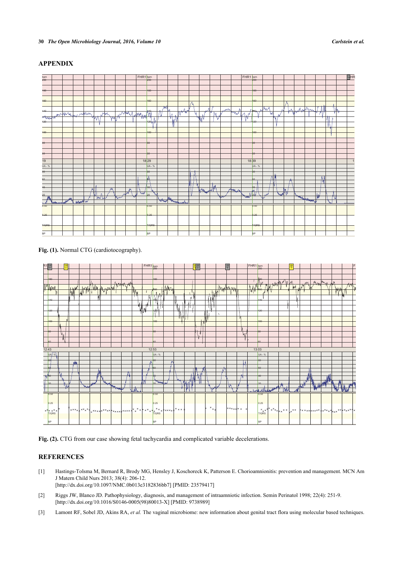HF

TIT

#### <span id="page-3-3"></span> b pm  $\mathbf b$ om  $\mathbf{r}$ ipm  $200$  $200$  $200$ 180 180 186  $+60$  $160$ 166  $+4$ θ 440 ۳۹ łē 'N ₩. ᄿ  $490$ 128  $+96$ ┱  $+00$  $100$  $400$  $80$  $86$  $86$  $60$  $66$  $66$  $\overline{19}$ 1829 | | | | | | | | | 1839 | | | | | | | | |  $\overline{UA}$ **UA - % UA - %**  $86$  $86$  $86$ 60 Ad **BC** 4 A k é ų £ 20  $20$  $20$  $0.50$  $0.50$  $0.50$ 0.25 0.25  $0.25$

**TIORS BP** 

# **APPENDIX**

**TIORS** BP

**Fig. (1).** Normal CTG (cardiotocography).

<span id="page-3-4"></span>

**TIORS BF** 

Fig. (2). CTG from our case showing fetal tachycardia and complicated variable decelerations.

# **REFERENCES**

- <span id="page-3-0"></span>[1] Hastings-Tolsma M, Bernard R, Brody MG, Hensley J, Koschoreck K, Patterson E. Chorioamnionitis: prevention and management. MCN Am J Matern Child Nurs 2013; 38(4): 206-12. [\[http://dx.doi.org/10.1097/NMC.0b013e3182836bb7\]](http://dx.doi.org/10.1097/NMC.0b013e3182836bb7) [PMID: [23579417](http://www.ncbi.nlm.nih.gov/pubmed/23579417)]
- <span id="page-3-1"></span>[2] Riggs JW, Blanco JD. Pathophysiology, diagnosis, and management of intraamniotic infection. Semin Perinatol 1998; 22(4): 251-9. [\[http://dx.doi.org/10.1016/S0146-0005\(98\)80013-X\]](http://dx.doi.org/10.1016/S0146-0005(98)80013-X) [PMID: [9738989](http://www.ncbi.nlm.nih.gov/pubmed/9738989)]
- <span id="page-3-2"></span>[3] Lamont RF, Sobel JD, Akins RA, *et al.* The vaginal microbiome: new information about genital tract flora using molecular based techniques.